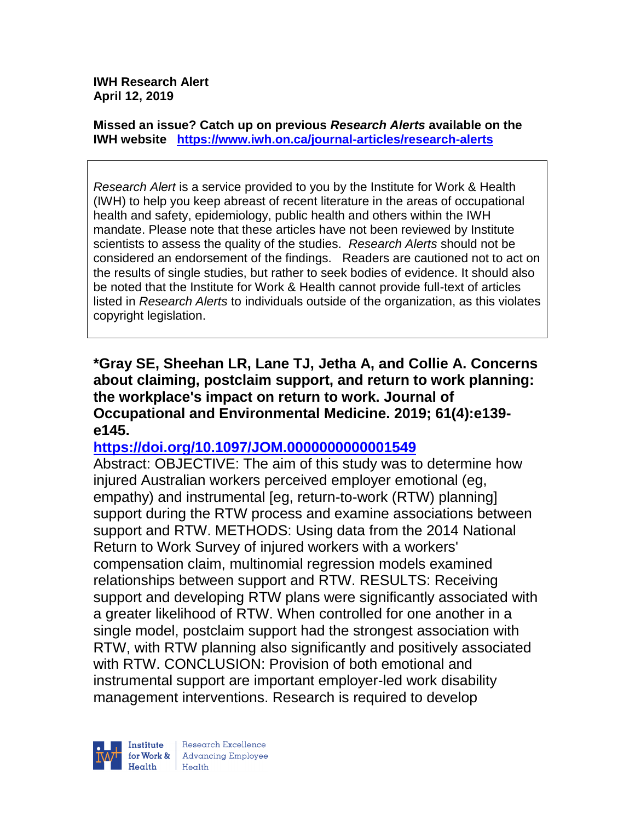**IWH Research Alert April 12, 2019**

**Missed an issue? Catch up on previous** *Research Alerts* **available on the [IWH website](http://www.iwh.on.ca/research-alerts) <https://www.iwh.on.ca/journal-articles/research-alerts>**

*Research Alert* is a service provided to you by the Institute for Work & Health (IWH) to help you keep abreast of recent literature in the areas of occupational health and safety, epidemiology, public health and others within the IWH mandate. Please note that these articles have not been reviewed by Institute scientists to assess the quality of the studies. *Research Alerts* should not be considered an endorsement of the findings. Readers are cautioned not to act on the results of single studies, but rather to seek bodies of evidence. It should also be noted that the Institute for Work & Health cannot provide full-text of articles listed in *Research Alerts* to individuals outside of the organization, as this violates copyright legislation.

**\*Gray SE, Sheehan LR, Lane TJ, Jetha A, and Collie A. Concerns about claiming, postclaim support, and return to work planning: the workplace's impact on return to work. Journal of Occupational and Environmental Medicine. 2019; 61(4):e139 e145.** 

## **<https://doi.org/10.1097/JOM.0000000000001549>**

Abstract: OBJECTIVE: The aim of this study was to determine how injured Australian workers perceived employer emotional (eg, empathy) and instrumental [eg, return-to-work (RTW) planning] support during the RTW process and examine associations between support and RTW. METHODS: Using data from the 2014 National Return to Work Survey of injured workers with a workers' compensation claim, multinomial regression models examined relationships between support and RTW. RESULTS: Receiving support and developing RTW plans were significantly associated with a greater likelihood of RTW. When controlled for one another in a single model, postclaim support had the strongest association with RTW, with RTW planning also significantly and positively associated with RTW. CONCLUSION: Provision of both emotional and instrumental support are important employer-led work disability management interventions. Research is required to develop

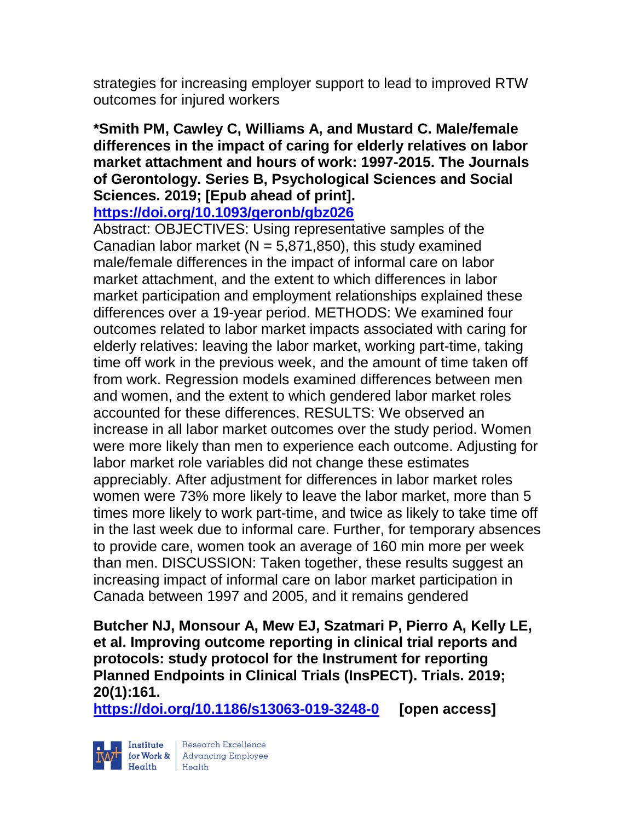strategies for increasing employer support to lead to improved RTW outcomes for injured workers

**\*Smith PM, Cawley C, Williams A, and Mustard C. Male/female differences in the impact of caring for elderly relatives on labor market attachment and hours of work: 1997-2015. The Journals of Gerontology. Series B, Psychological Sciences and Social Sciences. 2019; [Epub ahead of print].**

**<https://doi.org/10.1093/geronb/gbz026>** 

Abstract: OBJECTIVES: Using representative samples of the Canadian labor market ( $N = 5,871,850$ ), this study examined male/female differences in the impact of informal care on labor market attachment, and the extent to which differences in labor market participation and employment relationships explained these differences over a 19-year period. METHODS: We examined four outcomes related to labor market impacts associated with caring for elderly relatives: leaving the labor market, working part-time, taking time off work in the previous week, and the amount of time taken off from work. Regression models examined differences between men and women, and the extent to which gendered labor market roles accounted for these differences. RESULTS: We observed an increase in all labor market outcomes over the study period. Women were more likely than men to experience each outcome. Adjusting for labor market role variables did not change these estimates appreciably. After adjustment for differences in labor market roles women were 73% more likely to leave the labor market, more than 5 times more likely to work part-time, and twice as likely to take time off in the last week due to informal care. Further, for temporary absences to provide care, women took an average of 160 min more per week than men. DISCUSSION: Taken together, these results suggest an increasing impact of informal care on labor market participation in Canada between 1997 and 2005, and it remains gendered

**Butcher NJ, Monsour A, Mew EJ, Szatmari P, Pierro A, Kelly LE, et al. Improving outcome reporting in clinical trial reports and protocols: study protocol for the Instrument for reporting Planned Endpoints in Clinical Trials (InsPECT). Trials. 2019; 20(1):161.**

**<https://doi.org/10.1186/s13063-019-3248-0> [open access]**

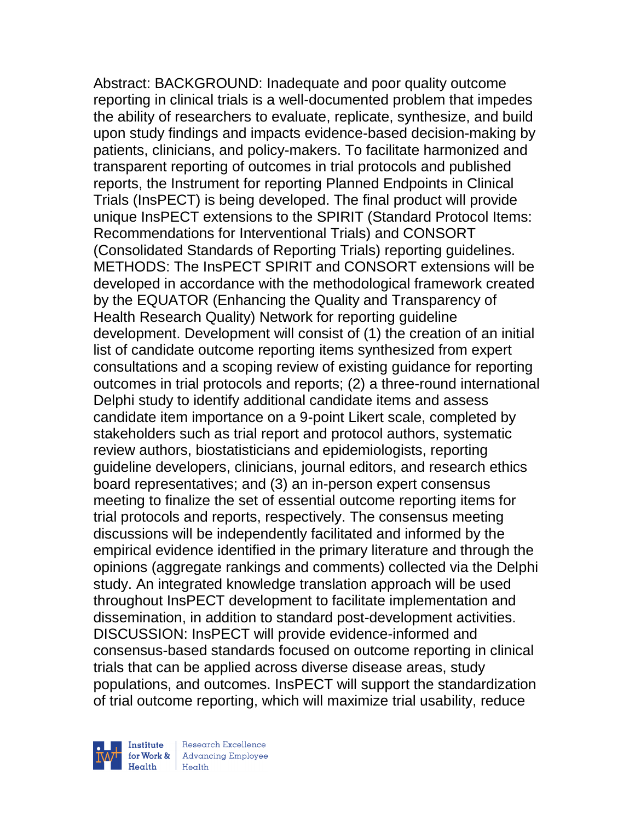Abstract: BACKGROUND: Inadequate and poor quality outcome reporting in clinical trials is a well-documented problem that impedes the ability of researchers to evaluate, replicate, synthesize, and build upon study findings and impacts evidence-based decision-making by patients, clinicians, and policy-makers. To facilitate harmonized and transparent reporting of outcomes in trial protocols and published reports, the Instrument for reporting Planned Endpoints in Clinical Trials (InsPECT) is being developed. The final product will provide unique InsPECT extensions to the SPIRIT (Standard Protocol Items: Recommendations for Interventional Trials) and CONSORT (Consolidated Standards of Reporting Trials) reporting guidelines. METHODS: The InsPECT SPIRIT and CONSORT extensions will be developed in accordance with the methodological framework created by the EQUATOR (Enhancing the Quality and Transparency of Health Research Quality) Network for reporting guideline development. Development will consist of (1) the creation of an initial list of candidate outcome reporting items synthesized from expert consultations and a scoping review of existing guidance for reporting outcomes in trial protocols and reports; (2) a three-round international Delphi study to identify additional candidate items and assess candidate item importance on a 9-point Likert scale, completed by stakeholders such as trial report and protocol authors, systematic review authors, biostatisticians and epidemiologists, reporting guideline developers, clinicians, journal editors, and research ethics board representatives; and (3) an in-person expert consensus meeting to finalize the set of essential outcome reporting items for trial protocols and reports, respectively. The consensus meeting discussions will be independently facilitated and informed by the empirical evidence identified in the primary literature and through the opinions (aggregate rankings and comments) collected via the Delphi study. An integrated knowledge translation approach will be used throughout InsPECT development to facilitate implementation and dissemination, in addition to standard post-development activities. DISCUSSION: InsPECT will provide evidence-informed and consensus-based standards focused on outcome reporting in clinical trials that can be applied across diverse disease areas, study populations, and outcomes. InsPECT will support the standardization of trial outcome reporting, which will maximize trial usability, reduce

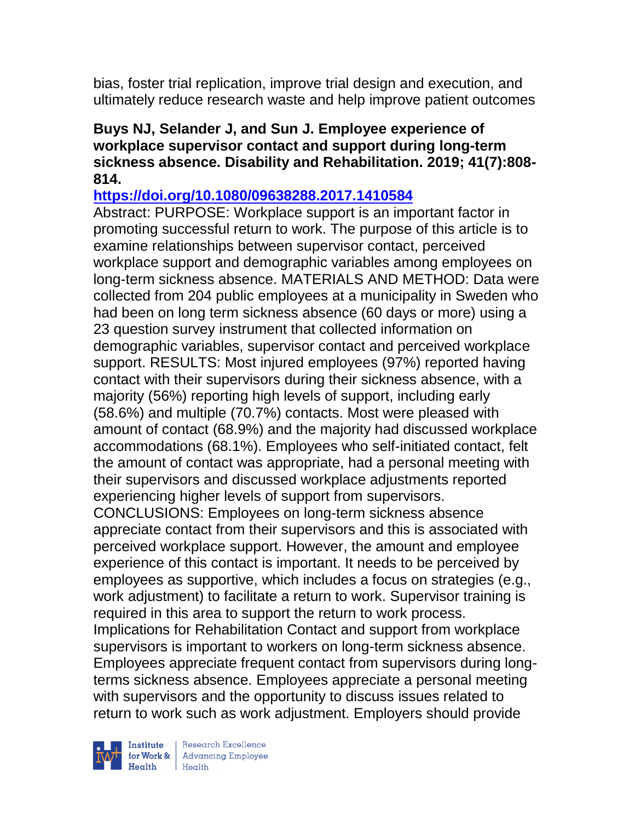bias, foster trial replication, improve trial design and execution, and ultimately reduce research waste and help improve patient outcomes

## **Buys NJ, Selander J, and Sun J. Employee experience of workplace supervisor contact and support during long-term sickness absence. Disability and Rehabilitation. 2019; 41(7):808- 814.**

**<https://doi.org/10.1080/09638288.2017.1410584>** 

Abstract: PURPOSE: Workplace support is an important factor in promoting successful return to work. The purpose of this article is to examine relationships between supervisor contact, perceived workplace support and demographic variables among employees on long-term sickness absence. MATERIALS AND METHOD: Data were collected from 204 public employees at a municipality in Sweden who had been on long term sickness absence (60 days or more) using a 23 question survey instrument that collected information on demographic variables, supervisor contact and perceived workplace support. RESULTS: Most injured employees (97%) reported having contact with their supervisors during their sickness absence, with a majority (56%) reporting high levels of support, including early (58.6%) and multiple (70.7%) contacts. Most were pleased with amount of contact (68.9%) and the majority had discussed workplace accommodations (68.1%). Employees who self-initiated contact, felt the amount of contact was appropriate, had a personal meeting with their supervisors and discussed workplace adjustments reported experiencing higher levels of support from supervisors. CONCLUSIONS: Employees on long-term sickness absence appreciate contact from their supervisors and this is associated with perceived workplace support. However, the amount and employee experience of this contact is important. It needs to be perceived by employees as supportive, which includes a focus on strategies (e.g., work adjustment) to facilitate a return to work. Supervisor training is required in this area to support the return to work process. Implications for Rehabilitation Contact and support from workplace supervisors is important to workers on long-term sickness absence. Employees appreciate frequent contact from supervisors during longterms sickness absence. Employees appreciate a personal meeting with supervisors and the opportunity to discuss issues related to return to work such as work adjustment. Employers should provide



 $\begin{tabular}{|l|} Institute & Research Excellence \\ \hline for Work & Advancing Employee \\ Health & Health \\ \end{tabular}$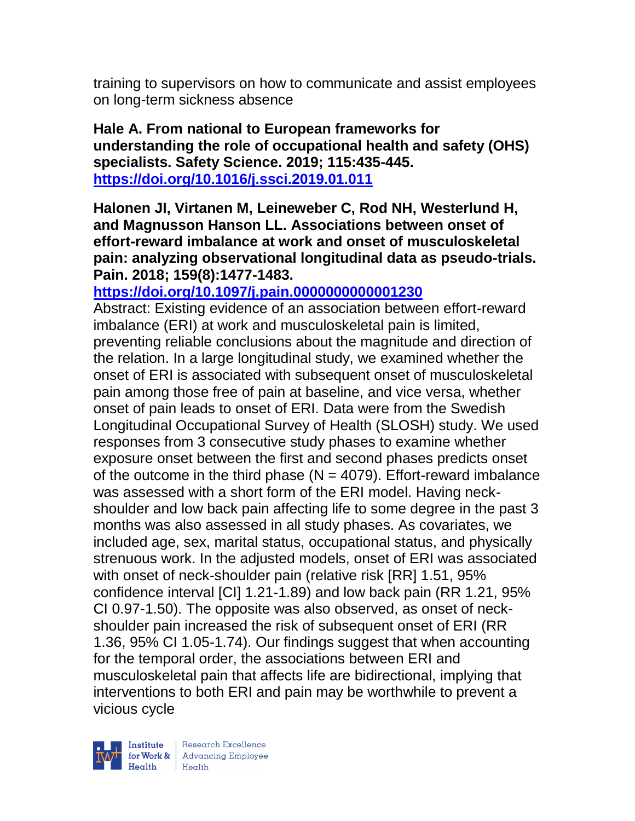training to supervisors on how to communicate and assist employees on long-term sickness absence

**Hale A. From national to European frameworks for understanding the role of occupational health and safety (OHS) specialists. Safety Science. 2019; 115:435-445. <https://doi.org/10.1016/j.ssci.2019.01.011>** 

**Halonen JI, Virtanen M, Leineweber C, Rod NH, Westerlund H, and Magnusson Hanson LL. Associations between onset of effort-reward imbalance at work and onset of musculoskeletal pain: analyzing observational longitudinal data as pseudo-trials. Pain. 2018; 159(8):1477-1483.** 

**<https://doi.org/10.1097/j.pain.0000000000001230>** 

Abstract: Existing evidence of an association between effort-reward imbalance (ERI) at work and musculoskeletal pain is limited, preventing reliable conclusions about the magnitude and direction of the relation. In a large longitudinal study, we examined whether the onset of ERI is associated with subsequent onset of musculoskeletal pain among those free of pain at baseline, and vice versa, whether onset of pain leads to onset of ERI. Data were from the Swedish Longitudinal Occupational Survey of Health (SLOSH) study. We used responses from 3 consecutive study phases to examine whether exposure onset between the first and second phases predicts onset of the outcome in the third phase ( $N = 4079$ ). Effort-reward imbalance was assessed with a short form of the ERI model. Having neckshoulder and low back pain affecting life to some degree in the past 3 months was also assessed in all study phases. As covariates, we included age, sex, marital status, occupational status, and physically strenuous work. In the adjusted models, onset of ERI was associated with onset of neck-shoulder pain (relative risk [RR] 1.51, 95% confidence interval [CI] 1.21-1.89) and low back pain (RR 1.21, 95% CI 0.97-1.50). The opposite was also observed, as onset of neckshoulder pain increased the risk of subsequent onset of ERI (RR 1.36, 95% CI 1.05-1.74). Our findings suggest that when accounting for the temporal order, the associations between ERI and musculoskeletal pain that affects life are bidirectional, implying that interventions to both ERI and pain may be worthwhile to prevent a vicious cycle

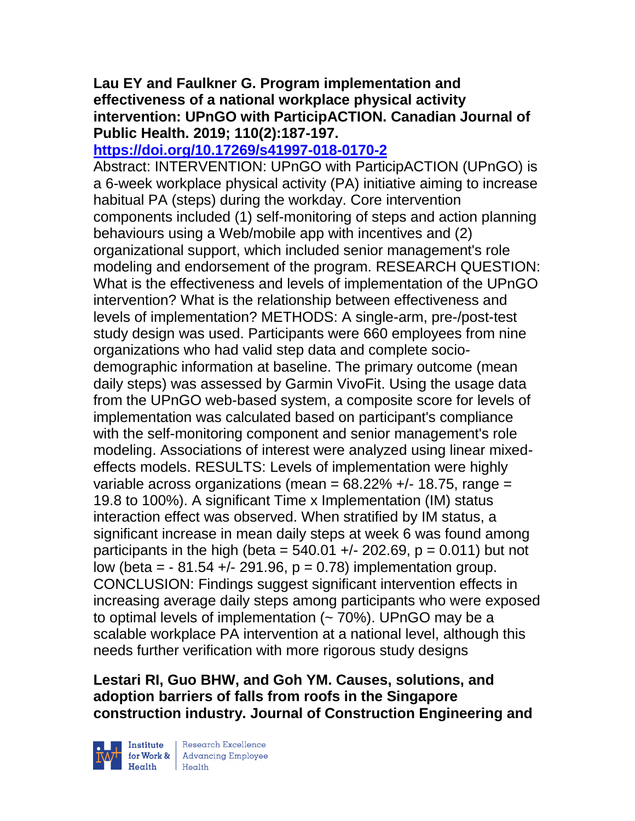# **Lau EY and Faulkner G. Program implementation and effectiveness of a national workplace physical activity intervention: UPnGO with ParticipACTION. Canadian Journal of Public Health. 2019; 110(2):187-197.**

# **<https://doi.org/10.17269/s41997-018-0170-2>**

Abstract: INTERVENTION: UPnGO with ParticipACTION (UPnGO) is a 6-week workplace physical activity (PA) initiative aiming to increase habitual PA (steps) during the workday. Core intervention components included (1) self-monitoring of steps and action planning behaviours using a Web/mobile app with incentives and (2) organizational support, which included senior management's role modeling and endorsement of the program. RESEARCH QUESTION: What is the effectiveness and levels of implementation of the UPnGO intervention? What is the relationship between effectiveness and levels of implementation? METHODS: A single-arm, pre-/post-test study design was used. Participants were 660 employees from nine organizations who had valid step data and complete sociodemographic information at baseline. The primary outcome (mean daily steps) was assessed by Garmin VivoFit. Using the usage data from the UPnGO web-based system, a composite score for levels of implementation was calculated based on participant's compliance with the self-monitoring component and senior management's role modeling. Associations of interest were analyzed using linear mixedeffects models. RESULTS: Levels of implementation were highly variable across organizations (mean =  $68.22\%$  +/- 18.75, range = 19.8 to 100%). A significant Time x Implementation (IM) status interaction effect was observed. When stratified by IM status, a significant increase in mean daily steps at week 6 was found among participants in the high (beta =  $540.01 +1$ - 202.69, p = 0.011) but not low (beta =  $-81.54 +/- 291.96$ ,  $p = 0.78$ ) implementation group. CONCLUSION: Findings suggest significant intervention effects in increasing average daily steps among participants who were exposed to optimal levels of implementation  $($   $\sim$  70%). UPnGO may be a scalable workplace PA intervention at a national level, although this needs further verification with more rigorous study designs

# **Lestari RI, Guo BHW, and Goh YM. Causes, solutions, and adoption barriers of falls from roofs in the Singapore construction industry. Journal of Construction Engineering and**



 $\begin{tabular}{|l|} Institute & Research Excellence \\ \hline for Work & Advancing Employee \\ Health & Health \\ \end{tabular}$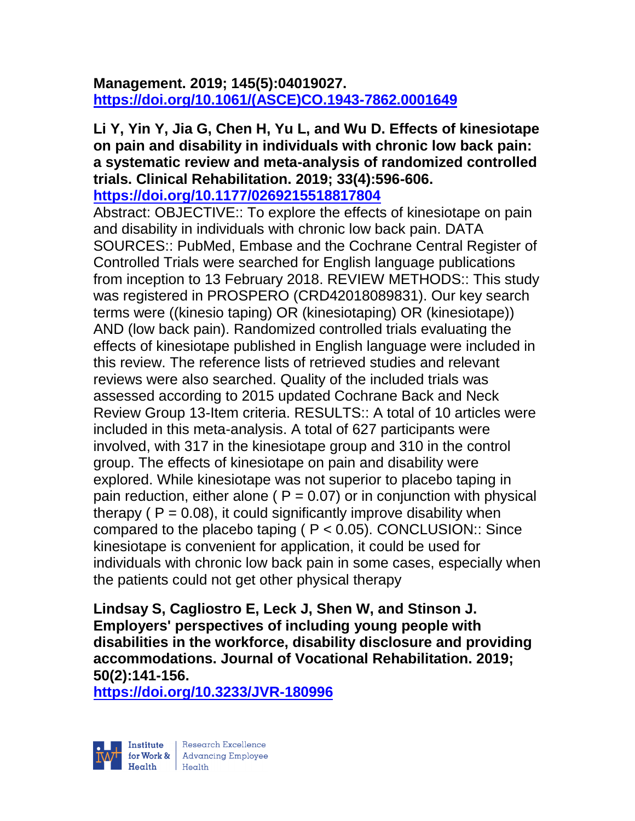# **Management. 2019; 145(5):04019027. [https://doi.org/10.1061/\(ASCE\)CO.1943-7862.0001649](https://doi.org/10.1061/(ASCE)CO.1943-7862.0001649)**

# **Li Y, Yin Y, Jia G, Chen H, Yu L, and Wu D. Effects of kinesiotape on pain and disability in individuals with chronic low back pain: a systematic review and meta-analysis of randomized controlled trials. Clinical Rehabilitation. 2019; 33(4):596-606.**

**<https://doi.org/10.1177/0269215518817804>** 

Abstract: OBJECTIVE:: To explore the effects of kinesiotape on pain and disability in individuals with chronic low back pain. DATA SOURCES:: PubMed, Embase and the Cochrane Central Register of Controlled Trials were searched for English language publications from inception to 13 February 2018. REVIEW METHODS:: This study was registered in PROSPERO (CRD42018089831). Our key search terms were ((kinesio taping) OR (kinesiotaping) OR (kinesiotape)) AND (low back pain). Randomized controlled trials evaluating the effects of kinesiotape published in English language were included in this review. The reference lists of retrieved studies and relevant reviews were also searched. Quality of the included trials was assessed according to 2015 updated Cochrane Back and Neck Review Group 13-Item criteria. RESULTS:: A total of 10 articles were included in this meta-analysis. A total of 627 participants were involved, with 317 in the kinesiotape group and 310 in the control group. The effects of kinesiotape on pain and disability were explored. While kinesiotape was not superior to placebo taping in pain reduction, either alone ( $P = 0.07$ ) or in conjunction with physical therapy ( $P = 0.08$ ), it could significantly improve disability when compared to the placebo taping ( $P < 0.05$ ). CONCLUSION:: Since kinesiotape is convenient for application, it could be used for individuals with chronic low back pain in some cases, especially when the patients could not get other physical therapy

**Lindsay S, Cagliostro E, Leck J, Shen W, and Stinson J. Employers' perspectives of including young people with disabilities in the workforce, disability disclosure and providing accommodations. Journal of Vocational Rehabilitation. 2019; 50(2):141-156.** 

**<https://doi.org/10.3233/JVR-180996>** 

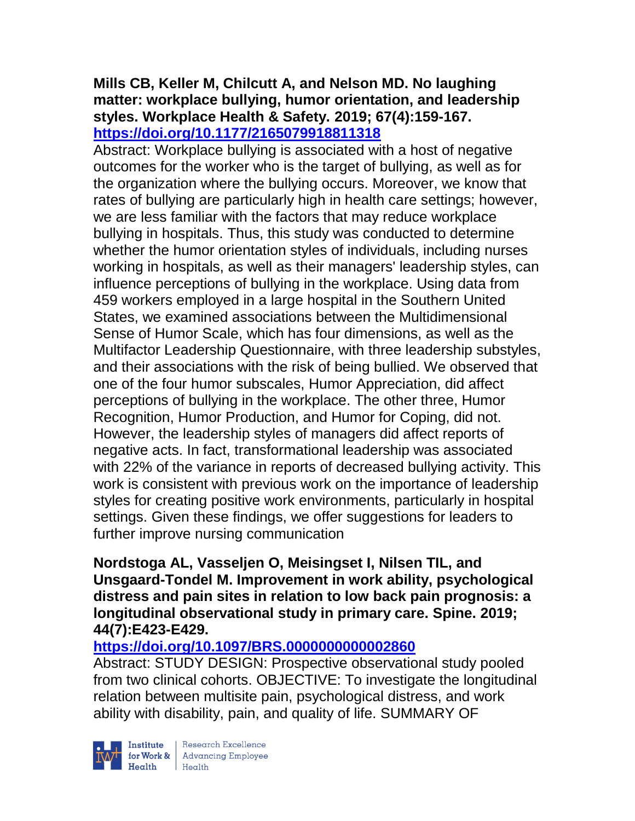#### **Mills CB, Keller M, Chilcutt A, and Nelson MD. No laughing matter: workplace bullying, humor orientation, and leadership styles. Workplace Health & Safety. 2019; 67(4):159-167. <https://doi.org/10.1177/2165079918811318>**

Abstract: Workplace bullying is associated with a host of negative outcomes for the worker who is the target of bullying, as well as for the organization where the bullying occurs. Moreover, we know that rates of bullying are particularly high in health care settings; however, we are less familiar with the factors that may reduce workplace bullying in hospitals. Thus, this study was conducted to determine whether the humor orientation styles of individuals, including nurses working in hospitals, as well as their managers' leadership styles, can influence perceptions of bullying in the workplace. Using data from 459 workers employed in a large hospital in the Southern United States, we examined associations between the Multidimensional Sense of Humor Scale, which has four dimensions, as well as the Multifactor Leadership Questionnaire, with three leadership substyles, and their associations with the risk of being bullied. We observed that one of the four humor subscales, Humor Appreciation, did affect perceptions of bullying in the workplace. The other three, Humor Recognition, Humor Production, and Humor for Coping, did not. However, the leadership styles of managers did affect reports of negative acts. In fact, transformational leadership was associated with 22% of the variance in reports of decreased bullying activity. This work is consistent with previous work on the importance of leadership styles for creating positive work environments, particularly in hospital settings. Given these findings, we offer suggestions for leaders to further improve nursing communication

## **Nordstoga AL, Vasseljen O, Meisingset I, Nilsen TIL, and Unsgaard-Tondel M. Improvement in work ability, psychological distress and pain sites in relation to low back pain prognosis: a longitudinal observational study in primary care. Spine. 2019; 44(7):E423-E429.**

# **<https://doi.org/10.1097/BRS.0000000000002860>**

Abstract: STUDY DESIGN: Prospective observational study pooled from two clinical cohorts. OBJECTIVE: To investigate the longitudinal relation between multisite pain, psychological distress, and work ability with disability, pain, and quality of life. SUMMARY OF



 $\begin{tabular}{|l|} Institute & Research Excellence \\ \hline for Work & Advancing Employee \\ Health & Health \\ \end{tabular}$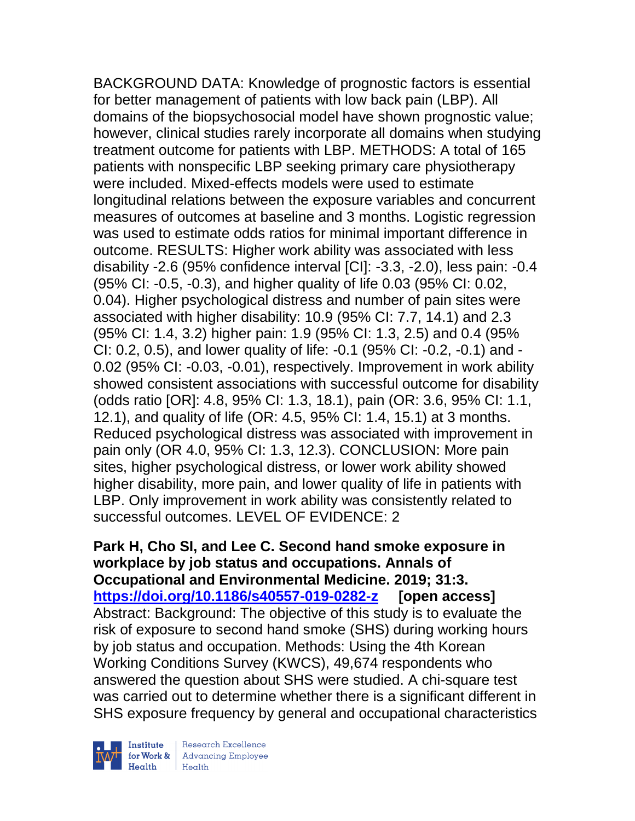BACKGROUND DATA: Knowledge of prognostic factors is essential for better management of patients with low back pain (LBP). All domains of the biopsychosocial model have shown prognostic value; however, clinical studies rarely incorporate all domains when studying treatment outcome for patients with LBP. METHODS: A total of 165 patients with nonspecific LBP seeking primary care physiotherapy were included. Mixed-effects models were used to estimate longitudinal relations between the exposure variables and concurrent measures of outcomes at baseline and 3 months. Logistic regression was used to estimate odds ratios for minimal important difference in outcome. RESULTS: Higher work ability was associated with less disability -2.6 (95% confidence interval [CI]: -3.3, -2.0), less pain: -0.4 (95% CI: -0.5, -0.3), and higher quality of life 0.03 (95% CI: 0.02, 0.04). Higher psychological distress and number of pain sites were associated with higher disability: 10.9 (95% CI: 7.7, 14.1) and 2.3 (95% CI: 1.4, 3.2) higher pain: 1.9 (95% CI: 1.3, 2.5) and 0.4 (95% CI: 0.2, 0.5), and lower quality of life: -0.1 (95% CI: -0.2, -0.1) and - 0.02 (95% CI: -0.03, -0.01), respectively. Improvement in work ability showed consistent associations with successful outcome for disability (odds ratio [OR]: 4.8, 95% CI: 1.3, 18.1), pain (OR: 3.6, 95% CI: 1.1, 12.1), and quality of life (OR: 4.5, 95% CI: 1.4, 15.1) at 3 months. Reduced psychological distress was associated with improvement in pain only (OR 4.0, 95% CI: 1.3, 12.3). CONCLUSION: More pain sites, higher psychological distress, or lower work ability showed higher disability, more pain, and lower quality of life in patients with LBP. Only improvement in work ability was consistently related to successful outcomes. LEVEL OF EVIDENCE: 2

## **Park H, Cho SI, and Lee C. Second hand smoke exposure in workplace by job status and occupations. Annals of Occupational and Environmental Medicine. 2019; 31:3. <https://doi.org/10.1186/s40557-019-0282-z> [open access]** Abstract: Background: The objective of this study is to evaluate the risk of exposure to second hand smoke (SHS) during working hours by job status and occupation. Methods: Using the 4th Korean Working Conditions Survey (KWCS), 49,674 respondents who answered the question about SHS were studied. A chi-square test was carried out to determine whether there is a significant different in SHS exposure frequency by general and occupational characteristics



Institute Research Excellence<br>
for Work & Advancing Employee<br>
Health<br>
Health Health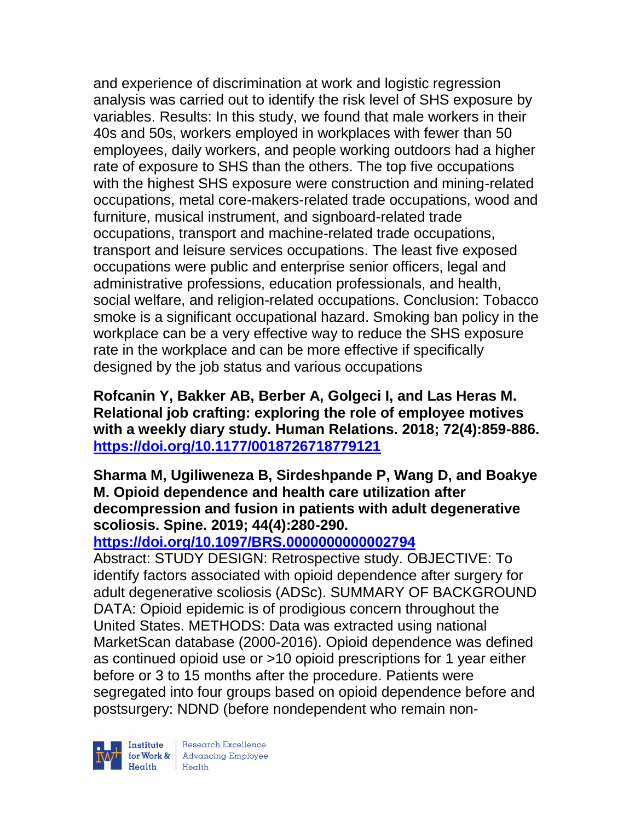and experience of discrimination at work and logistic regression analysis was carried out to identify the risk level of SHS exposure by variables. Results: In this study, we found that male workers in their 40s and 50s, workers employed in workplaces with fewer than 50 employees, daily workers, and people working outdoors had a higher rate of exposure to SHS than the others. The top five occupations with the highest SHS exposure were construction and mining-related occupations, metal core-makers-related trade occupations, wood and furniture, musical instrument, and signboard-related trade occupations, transport and machine-related trade occupations, transport and leisure services occupations. The least five exposed occupations were public and enterprise senior officers, legal and administrative professions, education professionals, and health, social welfare, and religion-related occupations. Conclusion: Tobacco smoke is a significant occupational hazard. Smoking ban policy in the workplace can be a very effective way to reduce the SHS exposure rate in the workplace and can be more effective if specifically designed by the job status and various occupations

**Rofcanin Y, Bakker AB, Berber A, Golgeci I, and Las Heras M. Relational job crafting: exploring the role of employee motives with a weekly diary study. Human Relations. 2018; 72(4):859-886. <https://doi.org/10.1177/0018726718779121>** 

## **Sharma M, Ugiliweneza B, Sirdeshpande P, Wang D, and Boakye M. Opioid dependence and health care utilization after decompression and fusion in patients with adult degenerative scoliosis. Spine. 2019; 44(4):280-290.**

# **<https://doi.org/10.1097/BRS.0000000000002794>**

Abstract: STUDY DESIGN: Retrospective study. OBJECTIVE: To identify factors associated with opioid dependence after surgery for adult degenerative scoliosis (ADSc). SUMMARY OF BACKGROUND DATA: Opioid epidemic is of prodigious concern throughout the United States. METHODS: Data was extracted using national MarketScan database (2000-2016). Opioid dependence was defined as continued opioid use or >10 opioid prescriptions for 1 year either before or 3 to 15 months after the procedure. Patients were segregated into four groups based on opioid dependence before and postsurgery: NDND (before nondependent who remain non-

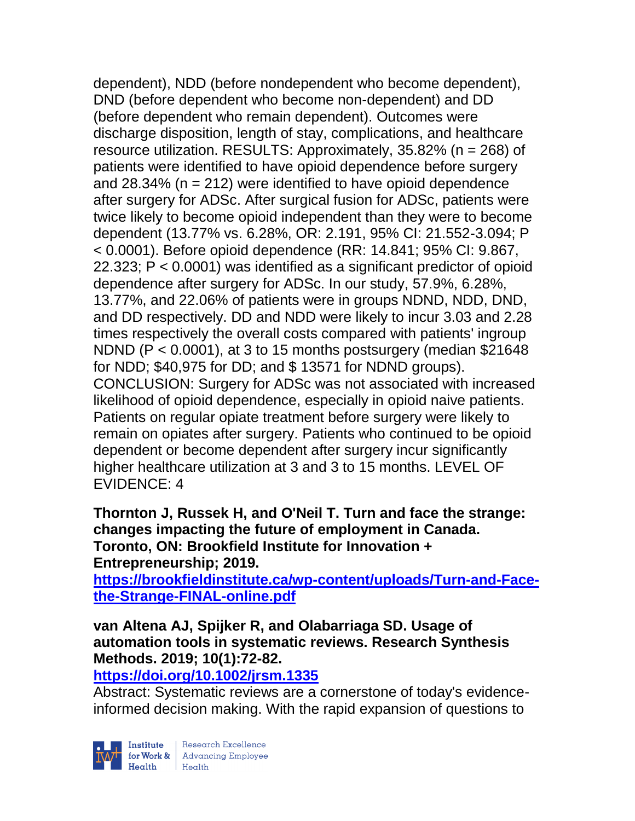dependent), NDD (before nondependent who become dependent), DND (before dependent who become non-dependent) and DD (before dependent who remain dependent). Outcomes were discharge disposition, length of stay, complications, and healthcare resource utilization. RESULTS: Approximately, 35.82% (n = 268) of patients were identified to have opioid dependence before surgery and 28.34% ( $n = 212$ ) were identified to have opioid dependence after surgery for ADSc. After surgical fusion for ADSc, patients were twice likely to become opioid independent than they were to become dependent (13.77% vs. 6.28%, OR: 2.191, 95% CI: 21.552-3.094; P < 0.0001). Before opioid dependence (RR: 14.841; 95% CI: 9.867, 22.323; P < 0.0001) was identified as a significant predictor of opioid dependence after surgery for ADSc. In our study, 57.9%, 6.28%, 13.77%, and 22.06% of patients were in groups NDND, NDD, DND, and DD respectively. DD and NDD were likely to incur 3.03 and 2.28 times respectively the overall costs compared with patients' ingroup NDND (P < 0.0001), at 3 to 15 months postsurgery (median \$21648 for NDD; \$40,975 for DD; and \$ 13571 for NDND groups). CONCLUSION: Surgery for ADSc was not associated with increased likelihood of opioid dependence, especially in opioid naive patients. Patients on regular opiate treatment before surgery were likely to remain on opiates after surgery. Patients who continued to be opioid dependent or become dependent after surgery incur significantly higher healthcare utilization at 3 and 3 to 15 months. LEVEL OF EVIDENCE: 4

**Thornton J, Russek H, and O'Neil T. Turn and face the strange: changes impacting the future of employment in Canada. Toronto, ON: Brookfield Institute for Innovation + Entrepreneurship; 2019.** 

**[https://brookfieldinstitute.ca/wp-content/uploads/Turn-and-Face](https://brookfieldinstitute.ca/wp-content/uploads/Turn-and-Face-the-Strange-FINAL-online.pdf)[the-Strange-FINAL-online.pdf](https://brookfieldinstitute.ca/wp-content/uploads/Turn-and-Face-the-Strange-FINAL-online.pdf)**

**van Altena AJ, Spijker R, and Olabarriaga SD. Usage of automation tools in systematic reviews. Research Synthesis Methods. 2019; 10(1):72-82.** 

**<https://doi.org/10.1002/jrsm.1335>** 

Abstract: Systematic reviews are a cornerstone of today's evidenceinformed decision making. With the rapid expansion of questions to

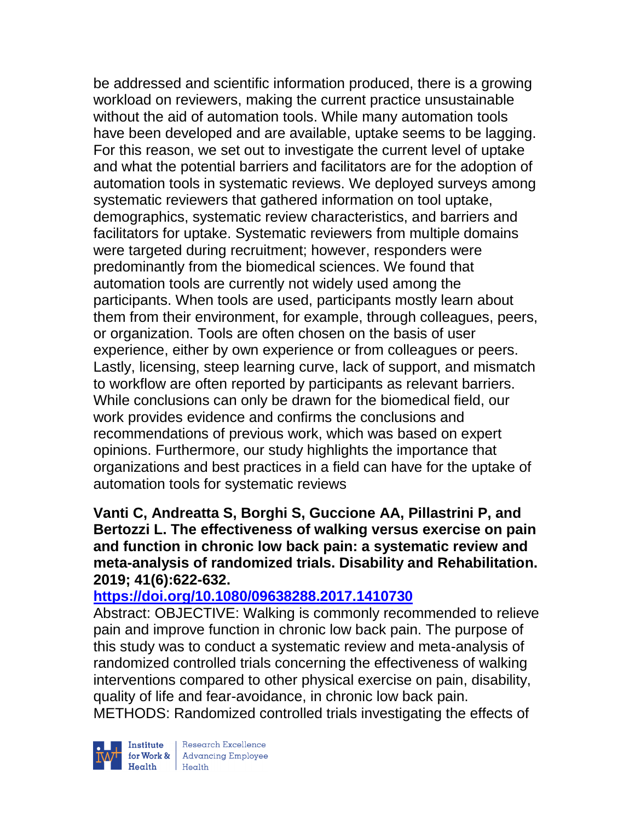be addressed and scientific information produced, there is a growing workload on reviewers, making the current practice unsustainable without the aid of automation tools. While many automation tools have been developed and are available, uptake seems to be lagging. For this reason, we set out to investigate the current level of uptake and what the potential barriers and facilitators are for the adoption of automation tools in systematic reviews. We deployed surveys among systematic reviewers that gathered information on tool uptake, demographics, systematic review characteristics, and barriers and facilitators for uptake. Systematic reviewers from multiple domains were targeted during recruitment; however, responders were predominantly from the biomedical sciences. We found that automation tools are currently not widely used among the participants. When tools are used, participants mostly learn about them from their environment, for example, through colleagues, peers, or organization. Tools are often chosen on the basis of user experience, either by own experience or from colleagues or peers. Lastly, licensing, steep learning curve, lack of support, and mismatch to workflow are often reported by participants as relevant barriers. While conclusions can only be drawn for the biomedical field, our work provides evidence and confirms the conclusions and recommendations of previous work, which was based on expert opinions. Furthermore, our study highlights the importance that organizations and best practices in a field can have for the uptake of automation tools for systematic reviews

**Vanti C, Andreatta S, Borghi S, Guccione AA, Pillastrini P, and Bertozzi L. The effectiveness of walking versus exercise on pain and function in chronic low back pain: a systematic review and meta-analysis of randomized trials. Disability and Rehabilitation. 2019; 41(6):622-632.** 

## **<https://doi.org/10.1080/09638288.2017.1410730>**

Abstract: OBJECTIVE: Walking is commonly recommended to relieve pain and improve function in chronic low back pain. The purpose of this study was to conduct a systematic review and meta-analysis of randomized controlled trials concerning the effectiveness of walking interventions compared to other physical exercise on pain, disability, quality of life and fear-avoidance, in chronic low back pain. METHODS: Randomized controlled trials investigating the effects of



Research Excellence Finantium Research Excellence<br>
Finantium Research Employee<br>
Realth Health